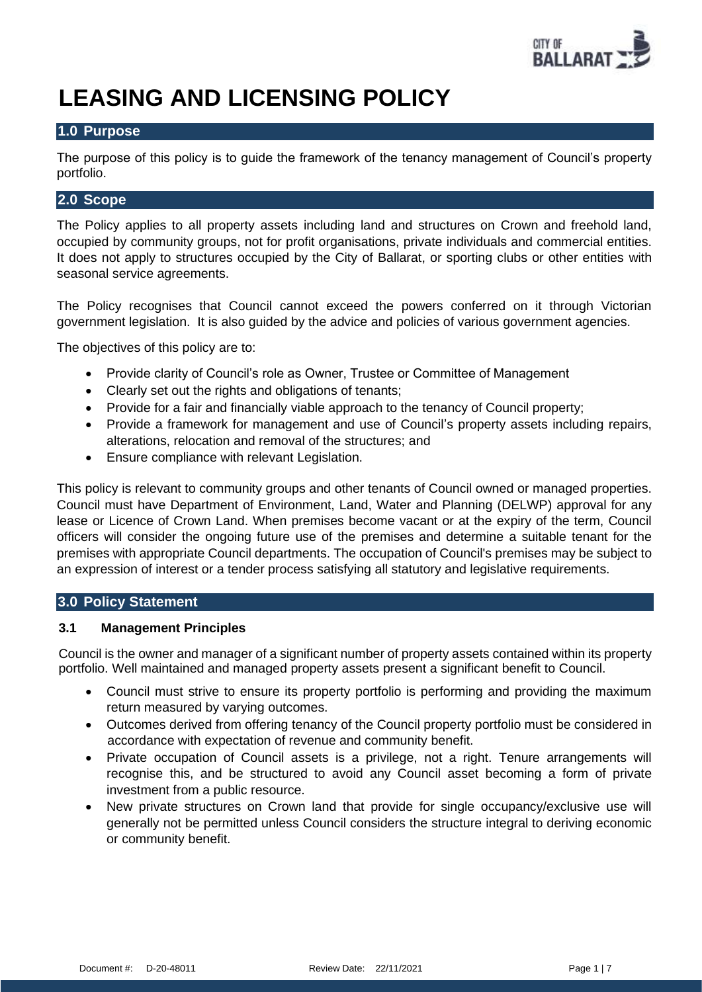

# **LEASING AND LICENSING POLICY**

## **1.0 Purpose**

The purpose of this policy is to guide the framework of the tenancy management of Council's property portfolio.

# **2.0 Scope**

The Policy applies to all property assets including land and structures on Crown and freehold land, occupied by community groups, not for profit organisations, private individuals and commercial entities. It does not apply to structures occupied by the City of Ballarat, or sporting clubs or other entities with seasonal service agreements.

The Policy recognises that Council cannot exceed the powers conferred on it through Victorian government legislation. It is also guided by the advice and policies of various government agencies.

The objectives of this policy are to:

- Provide clarity of Council's role as Owner, Trustee or Committee of Management
- Clearly set out the rights and obligations of tenants;
- Provide for a fair and financially viable approach to the tenancy of Council property;
- Provide a framework for management and use of Council's property assets including repairs, alterations, relocation and removal of the structures; and
- Ensure compliance with relevant Legislation.

This policy is relevant to community groups and other tenants of Council owned or managed properties. Council must have Department of Environment, Land, Water and Planning (DELWP) approval for any lease or Licence of Crown Land. When premises become vacant or at the expiry of the term, Council officers will consider the ongoing future use of the premises and determine a suitable tenant for the premises with appropriate Council departments. The occupation of Council's premises may be subject to an expression of interest or a tender process satisfying all statutory and legislative requirements.

## **3.0 Policy Statement**

## **3.1 Management Principles**

Council is the owner and manager of a significant number of property assets contained within its property portfolio. Well maintained and managed property assets present a significant benefit to Council.

- Council must strive to ensure its property portfolio is performing and providing the maximum return measured by varying outcomes.
- Outcomes derived from offering tenancy of the Council property portfolio must be considered in accordance with expectation of revenue and community benefit.
- Private occupation of Council assets is a privilege, not a right. Tenure arrangements will recognise this, and be structured to avoid any Council asset becoming a form of private investment from a public resource.
- New private structures on Crown land that provide for single occupancy/exclusive use will generally not be permitted unless Council considers the structure integral to deriving economic or community benefit.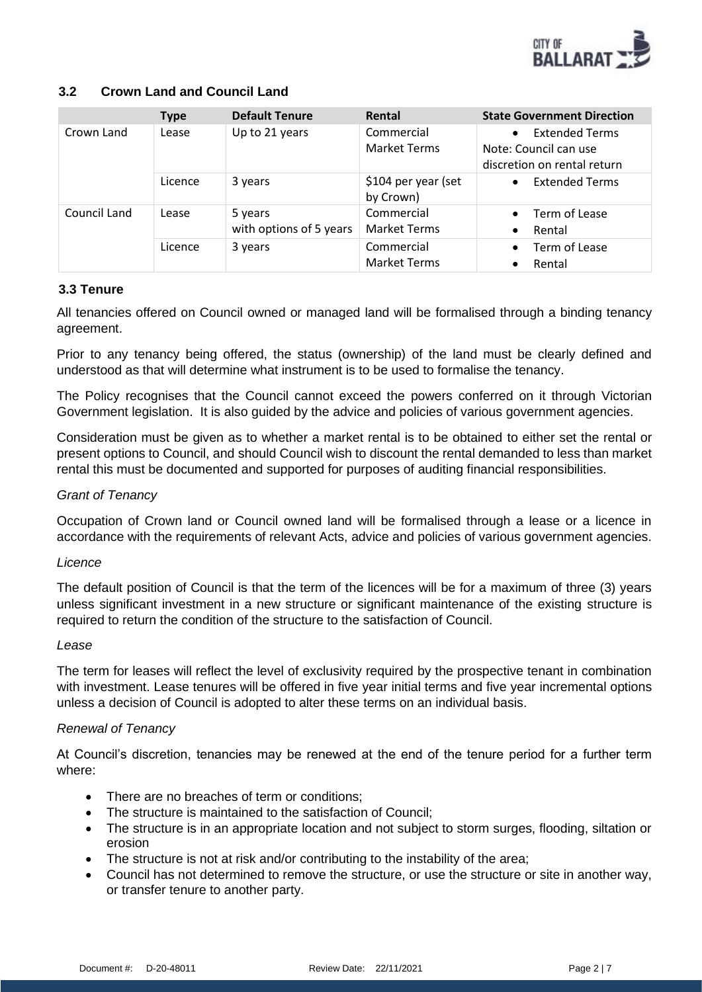

## **3.2 Crown Land and Council Land**

|              | <b>Type</b> | <b>Default Tenure</b>              | Rental                            | <b>State Government Direction</b>                                                          |
|--------------|-------------|------------------------------------|-----------------------------------|--------------------------------------------------------------------------------------------|
| Crown Land   | Lease       | Up to 21 years                     | Commercial<br><b>Market Terms</b> | <b>Extended Terms</b><br>$\bullet$<br>Note: Council can use<br>discretion on rental return |
|              | Licence     | 3 years                            | \$104 per year (set<br>by Crown)  | <b>Extended Terms</b><br>$\bullet$                                                         |
| Council Land | Lease       | 5 years<br>with options of 5 years | Commercial<br><b>Market Terms</b> | Term of Lease<br>$\bullet$<br>Rental<br>$\bullet$                                          |
|              | Licence     | 3 years                            | Commercial<br><b>Market Terms</b> | Term of Lease<br>$\bullet$<br>Rental<br>$\bullet$                                          |

## **3.3 Tenure**

All tenancies offered on Council owned or managed land will be formalised through a binding tenancy agreement.

Prior to any tenancy being offered, the status (ownership) of the land must be clearly defined and understood as that will determine what instrument is to be used to formalise the tenancy.

The Policy recognises that the Council cannot exceed the powers conferred on it through Victorian Government legislation. It is also guided by the advice and policies of various government agencies.

Consideration must be given as to whether a market rental is to be obtained to either set the rental or present options to Council, and should Council wish to discount the rental demanded to less than market rental this must be documented and supported for purposes of auditing financial responsibilities.

## *Grant of Tenancy*

Occupation of Crown land or Council owned land will be formalised through a lease or a licence in accordance with the requirements of relevant Acts, advice and policies of various government agencies.

## *Licence*

The default position of Council is that the term of the licences will be for a maximum of three (3) years unless significant investment in a new structure or significant maintenance of the existing structure is required to return the condition of the structure to the satisfaction of Council.

## *Lease*

The term for leases will reflect the level of exclusivity required by the prospective tenant in combination with investment. Lease tenures will be offered in five year initial terms and five year incremental options unless a decision of Council is adopted to alter these terms on an individual basis.

## *Renewal of Tenancy*

At Council's discretion, tenancies may be renewed at the end of the tenure period for a further term where:

- There are no breaches of term or conditions:
- The structure is maintained to the satisfaction of Council;
- The structure is in an appropriate location and not subject to storm surges, flooding, siltation or erosion
- The structure is not at risk and/or contributing to the instability of the area;
- Council has not determined to remove the structure, or use the structure or site in another way, or transfer tenure to another party.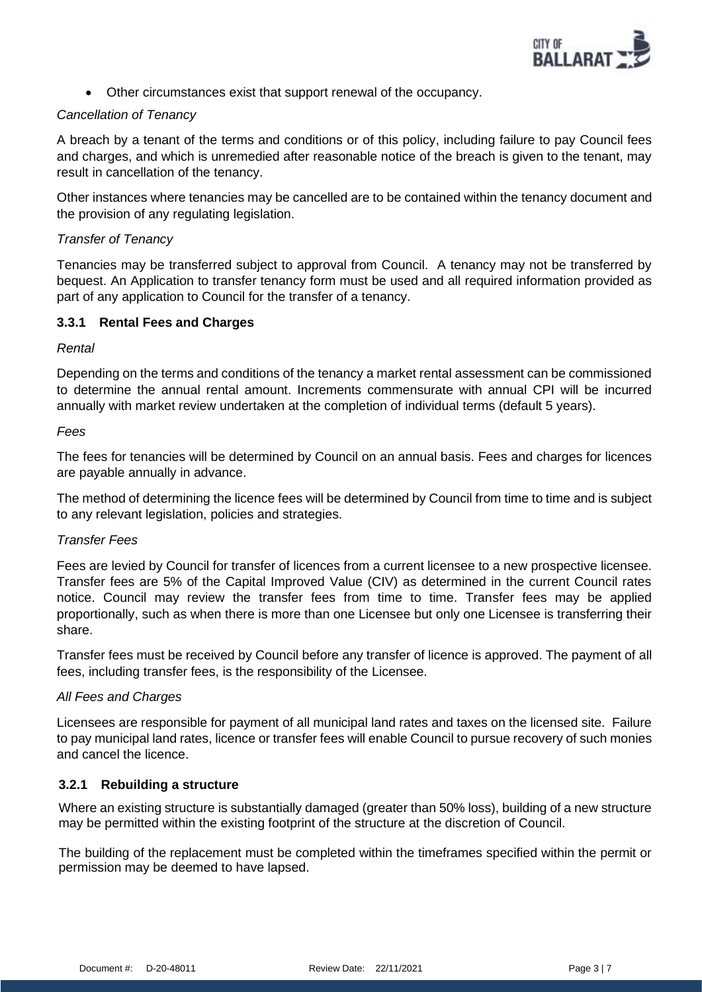

• Other circumstances exist that support renewal of the occupancy.

## *Cancellation of Tenancy*

A breach by a tenant of the terms and conditions or of this policy, including failure to pay Council fees and charges, and which is unremedied after reasonable notice of the breach is given to the tenant, may result in cancellation of the tenancy.

Other instances where tenancies may be cancelled are to be contained within the tenancy document and the provision of any regulating legislation.

## *Transfer of Tenancy*

Tenancies may be transferred subject to approval from Council. A tenancy may not be transferred by bequest. An Application to transfer tenancy form must be used and all required information provided as part of any application to Council for the transfer of a tenancy.

## **3.3.1 Rental Fees and Charges**

## *Rental*

Depending on the terms and conditions of the tenancy a market rental assessment can be commissioned to determine the annual rental amount. Increments commensurate with annual CPI will be incurred annually with market review undertaken at the completion of individual terms (default 5 years).

## *Fees*

The fees for tenancies will be determined by Council on an annual basis. Fees and charges for licences are payable annually in advance.

The method of determining the licence fees will be determined by Council from time to time and is subject to any relevant legislation, policies and strategies.

## *Transfer Fees*

Fees are levied by Council for transfer of licences from a current licensee to a new prospective licensee. Transfer fees are 5% of the Capital Improved Value (CIV) as determined in the current Council rates notice. Council may review the transfer fees from time to time. Transfer fees may be applied proportionally, such as when there is more than one Licensee but only one Licensee is transferring their share.

Transfer fees must be received by Council before any transfer of licence is approved. The payment of all fees, including transfer fees, is the responsibility of the Licensee.

## *All Fees and Charges*

Licensees are responsible for payment of all municipal land rates and taxes on the licensed site. Failure to pay municipal land rates, licence or transfer fees will enable Council to pursue recovery of such monies and cancel the licence.

## **3.2.1 Rebuilding a structure**

Where an existing structure is substantially damaged (greater than 50% loss), building of a new structure may be permitted within the existing footprint of the structure at the discretion of Council.

The building of the replacement must be completed within the timeframes specified within the permit or permission may be deemed to have lapsed.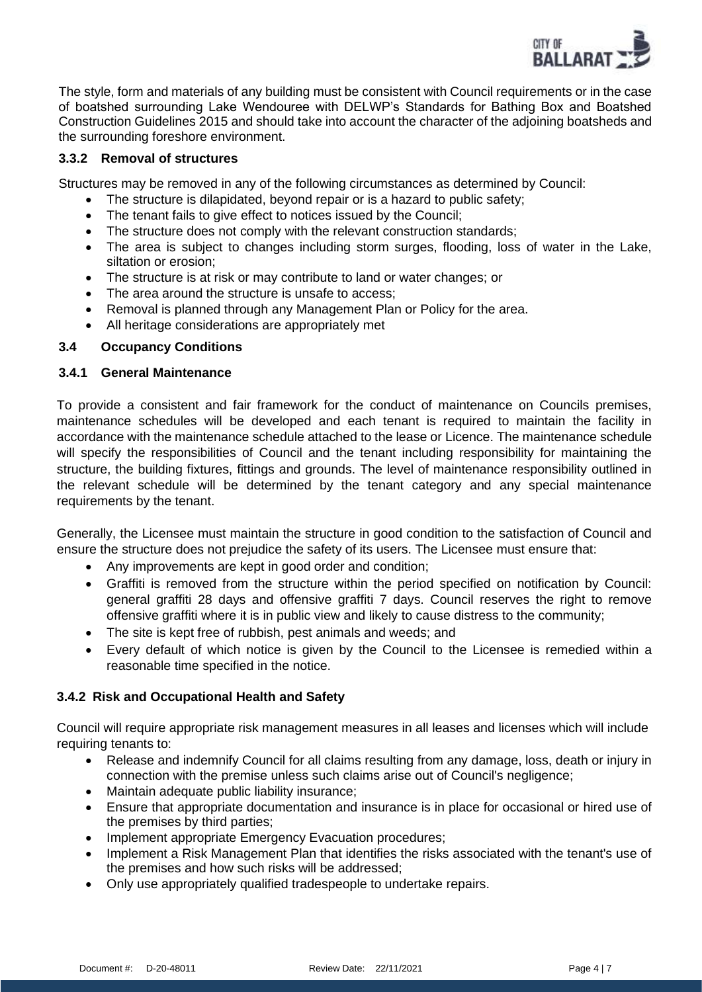

The style, form and materials of any building must be consistent with Council requirements or in the case of boatshed surrounding Lake Wendouree with DELWP's Standards for Bathing Box and Boatshed Construction Guidelines 2015 and should take into account the character of the adjoining boatsheds and the surrounding foreshore environment.

## **3.3.2 Removal of structures**

Structures may be removed in any of the following circumstances as determined by Council:

- The structure is dilapidated, beyond repair or is a hazard to public safety;
- The tenant fails to give effect to notices issued by the Council;
- The structure does not comply with the relevant construction standards;
- The area is subject to changes including storm surges, flooding, loss of water in the Lake, siltation or erosion;
- The structure is at risk or may contribute to land or water changes; or
- The area around the structure is unsafe to access;
- Removal is planned through any Management Plan or Policy for the area.
- All heritage considerations are appropriately met

## **3.4 Occupancy Conditions**

## **3.4.1 General Maintenance**

To provide a consistent and fair framework for the conduct of maintenance on Councils premises, maintenance schedules will be developed and each tenant is required to maintain the facility in accordance with the maintenance schedule attached to the lease or Licence. The maintenance schedule will specify the responsibilities of Council and the tenant including responsibility for maintaining the structure, the building fixtures, fittings and grounds. The level of maintenance responsibility outlined in the relevant schedule will be determined by the tenant category and any special maintenance requirements by the tenant.

Generally, the Licensee must maintain the structure in good condition to the satisfaction of Council and ensure the structure does not prejudice the safety of its users. The Licensee must ensure that:

- Any improvements are kept in good order and condition;
- Graffiti is removed from the structure within the period specified on notification by Council: general graffiti 28 days and offensive graffiti 7 days. Council reserves the right to remove offensive graffiti where it is in public view and likely to cause distress to the community;
- The site is kept free of rubbish, pest animals and weeds; and
- Every default of which notice is given by the Council to the Licensee is remedied within a reasonable time specified in the notice.

## **3.4.2 Risk and Occupational Health and Safety**

Council will require appropriate risk management measures in all leases and licenses which will include requiring tenants to:

- Release and indemnify Council for all claims resulting from any damage, loss, death or injury in connection with the premise unless such claims arise out of Council's negligence;
- Maintain adequate public liability insurance;
- Ensure that appropriate documentation and insurance is in place for occasional or hired use of the premises by third parties;
- Implement appropriate Emergency Evacuation procedures;
- Implement a Risk Management Plan that identifies the risks associated with the tenant's use of the premises and how such risks will be addressed;
- Only use appropriately qualified tradespeople to undertake repairs.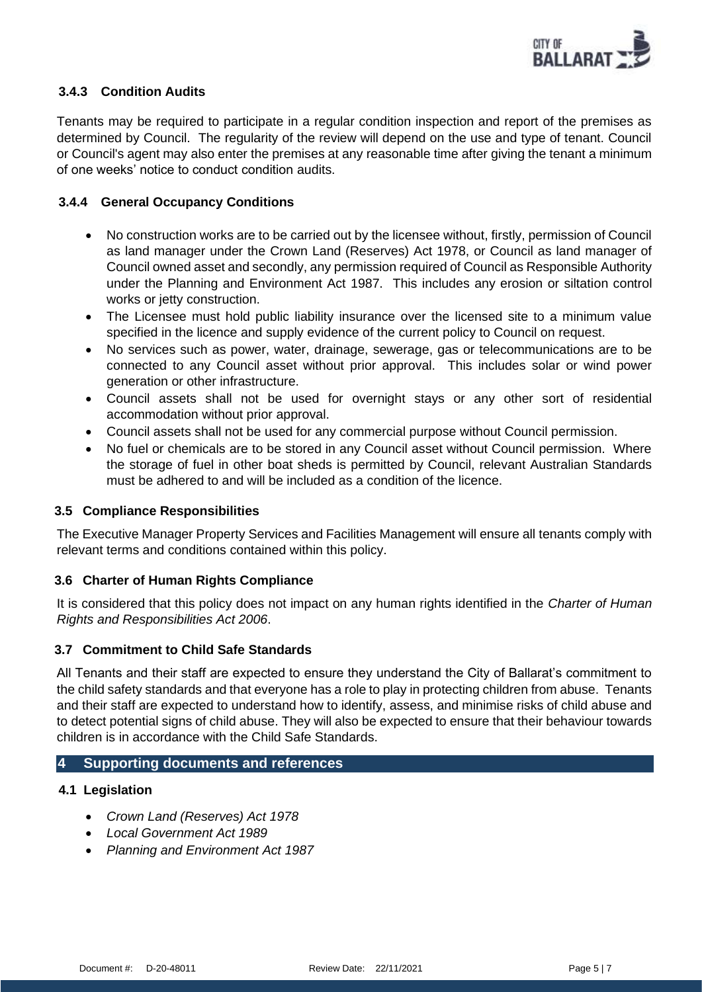

## **3.4.3 Condition Audits**

Tenants may be required to participate in a regular condition inspection and report of the premises as determined by Council. The regularity of the review will depend on the use and type of tenant. Council or Council's agent may also enter the premises at any reasonable time after giving the tenant a minimum of one weeks' notice to conduct condition audits.

## **3.4.4 General Occupancy Conditions**

- No construction works are to be carried out by the licensee without, firstly, permission of Council as land manager under the Crown Land (Reserves) Act 1978, or Council as land manager of Council owned asset and secondly, any permission required of Council as Responsible Authority under the Planning and Environment Act 1987. This includes any erosion or siltation control works or jetty construction.
- The Licensee must hold public liability insurance over the licensed site to a minimum value specified in the licence and supply evidence of the current policy to Council on request.
- No services such as power, water, drainage, sewerage, gas or telecommunications are to be connected to any Council asset without prior approval. This includes solar or wind power generation or other infrastructure.
- Council assets shall not be used for overnight stays or any other sort of residential accommodation without prior approval.
- Council assets shall not be used for any commercial purpose without Council permission.
- No fuel or chemicals are to be stored in any Council asset without Council permission. Where the storage of fuel in other boat sheds is permitted by Council, relevant Australian Standards must be adhered to and will be included as a condition of the licence.

## **3.5 Compliance Responsibilities**

The Executive Manager Property Services and Facilities Management will ensure all tenants comply with relevant terms and conditions contained within this policy.

## **3.6 Charter of Human Rights Compliance**

It is considered that this policy does not impact on any human rights identified in the *Charter of Human Rights and Responsibilities Act 2006*.

## **3.7 Commitment to Child Safe Standards**

All Tenants and their staff are expected to ensure they understand the City of Ballarat's commitment to the child safety standards and that everyone has a role to play in protecting children from abuse. Tenants and their staff are expected to understand how to identify, assess, and minimise risks of child abuse and to detect potential signs of child abuse. They will also be expected to ensure that their behaviour towards children is in accordance with the Child Safe Standards.

## **4 Supporting documents and references**

## **4.1 Legislation**

- *Crown Land (Reserves) Act 1978*
- *Local Government Act 1989*
- *Planning and Environment Act 1987*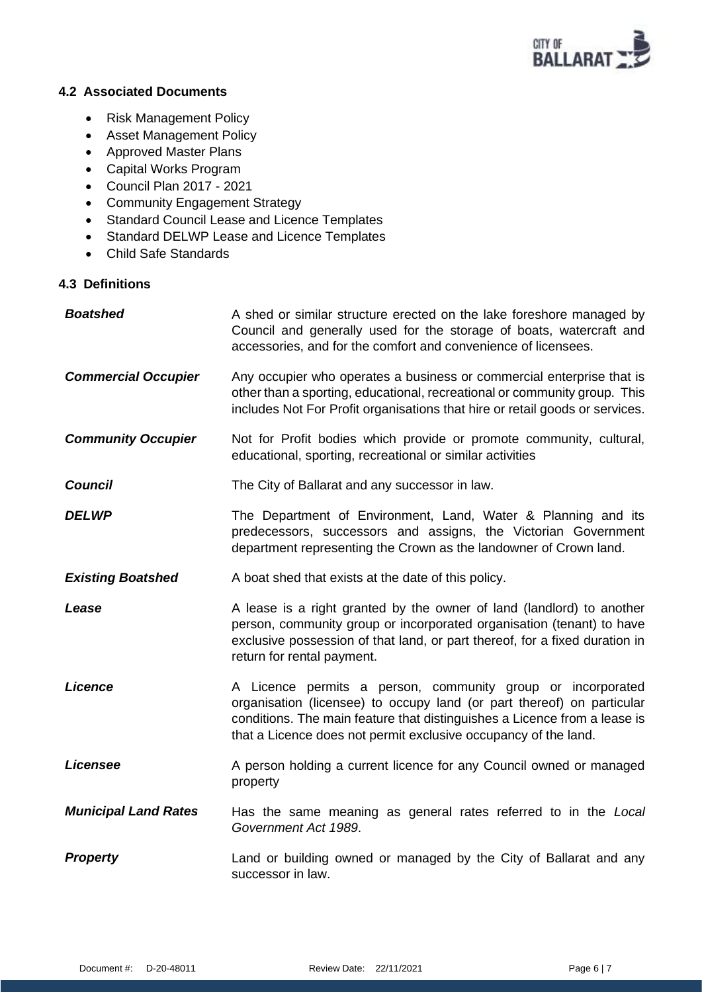

## **4.2 Associated Documents**

- Risk Management Policy
- Asset Management Policy
- Approved Master Plans
- Capital Works Program
- Council Plan 2017 2021
- Community Engagement Strategy
- Standard Council Lease and Licence Templates
- Standard DELWP Lease and Licence Templates
- Child Safe Standards

# **4.3 Definitions**

| <b>Boatshed</b>             | A shed or similar structure erected on the lake foreshore managed by<br>Council and generally used for the storage of boats, watercraft and<br>accessories, and for the comfort and convenience of licensees.                                                                         |
|-----------------------------|---------------------------------------------------------------------------------------------------------------------------------------------------------------------------------------------------------------------------------------------------------------------------------------|
| <b>Commercial Occupier</b>  | Any occupier who operates a business or commercial enterprise that is<br>other than a sporting, educational, recreational or community group. This<br>includes Not For Profit organisations that hire or retail goods or services.                                                    |
| <b>Community Occupier</b>   | Not for Profit bodies which provide or promote community, cultural,<br>educational, sporting, recreational or similar activities                                                                                                                                                      |
| <b>Council</b>              | The City of Ballarat and any successor in law.                                                                                                                                                                                                                                        |
| <b>DELWP</b>                | The Department of Environment, Land, Water & Planning and its<br>predecessors, successors and assigns, the Victorian Government<br>department representing the Crown as the landowner of Crown land.                                                                                  |
| <b>Existing Boatshed</b>    | A boat shed that exists at the date of this policy.                                                                                                                                                                                                                                   |
| Lease                       | A lease is a right granted by the owner of land (landlord) to another<br>person, community group or incorporated organisation (tenant) to have<br>exclusive possession of that land, or part thereof, for a fixed duration in<br>return for rental payment.                           |
| Licence                     | A Licence permits a person, community group or incorporated<br>organisation (licensee) to occupy land (or part thereof) on particular<br>conditions. The main feature that distinguishes a Licence from a lease is<br>that a Licence does not permit exclusive occupancy of the land. |
| Licensee                    | A person holding a current licence for any Council owned or managed<br>property                                                                                                                                                                                                       |
| <b>Municipal Land Rates</b> | Has the same meaning as general rates referred to in the Local<br>Government Act 1989.                                                                                                                                                                                                |
| <b>Property</b>             | Land or building owned or managed by the City of Ballarat and any<br>successor in law.                                                                                                                                                                                                |